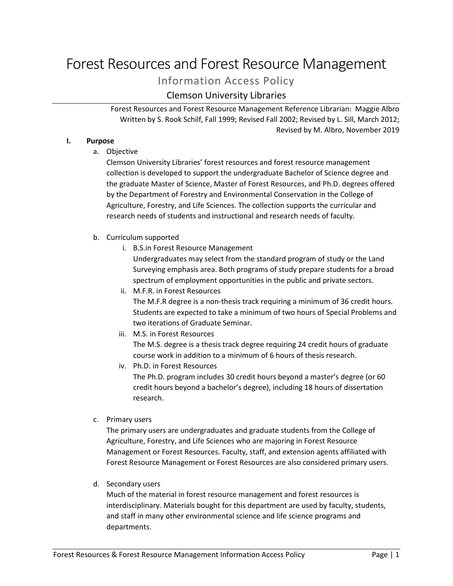# Forest Resources and Forest Resource Management

# Information Access Policy

# Clemson University Libraries

Forest Resources and Forest Resource Management Reference Librarian: Maggie Albro Written by S. Rook Schilf, Fall 1999; Revised Fall 2002; Revised by L. Sill, March 2012; Revised by M. Albro, November 2019

#### **I. Purpose**

a. Objective

Clemson University Libraries' forest resources and forest resource management collection is developed to support the undergraduate Bachelor of Science degree and the graduate Master of Science, Master of Forest Resources, and Ph.D. degrees offered by the Department of Forestry and Environmental Conservation in the College of Agriculture, Forestry, and Life Sciences. The collection supports the curricular and research needs of students and instructional and research needs of faculty.

#### b. Curriculum supported

i. B.S.in Forest Resource Management

Undergraduates may select from the standard program of study or the Land Surveying emphasis area. Both programs of study prepare students for a broad spectrum of employment opportunities in the public and private sectors.

- ii. M.F.R. in Forest Resources The M.F.R degree is a non-thesis track requiring a minimum of 36 credit hours. Students are expected to take a minimum of two hours of Special Problems and two iterations of Graduate Seminar.
- iii. M.S. in Forest Resources

The M.S. degree is a thesis track degree requiring 24 credit hours of graduate course work in addition to a minimum of 6 hours of thesis research.

iv. Ph.D. in Forest Resources

The Ph.D. program includes 30 credit hours beyond a master's degree (or 60 credit hours beyond a bachelor's degree), including 18 hours of dissertation research.

c. Primary users

The primary users are undergraduates and graduate students from the College of Agriculture, Forestry, and Life Sciences who are majoring in Forest Resource Management or Forest Resources. Faculty, staff, and extension agents affiliated with Forest Resource Management or Forest Resources are also considered primary users.

d. Secondary users

Much of the material in forest resource management and forest resources is interdisciplinary. Materials bought for this department are used by faculty, students, and staff in many other environmental science and life science programs and departments.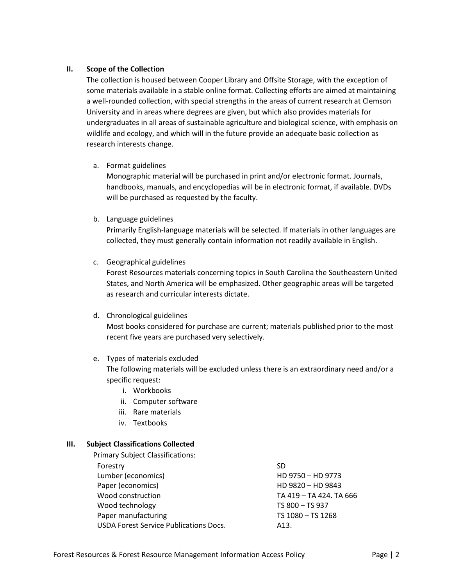# **II. Scope of the Collection**

The collection is housed between Cooper Library and Offsite Storage, with the exception of some materials available in a stable online format. Collecting efforts are aimed at maintaining a well-rounded collection, with special strengths in the areas of current research at Clemson University and in areas where degrees are given, but which also provides materials for undergraduates in all areas of sustainable agriculture and biological science, with emphasis on wildlife and ecology, and which will in the future provide an adequate basic collection as research interests change.

a. Format guidelines

Monographic material will be purchased in print and/or electronic format. Journals, handbooks, manuals, and encyclopedias will be in electronic format, if available. DVDs will be purchased as requested by the faculty.

b. Language guidelines

Primarily English-language materials will be selected. If materials in other languages are collected, they must generally contain information not readily available in English.

c. Geographical guidelines

Forest Resources materials concerning topics in South Carolina the Southeastern United States, and North America will be emphasized. Other geographic areas will be targeted as research and curricular interests dictate.

# d. Chronological guidelines

Most books considered for purchase are current; materials published prior to the most recent five years are purchased very selectively.

# e. Types of materials excluded

The following materials will be excluded unless there is an extraordinary need and/or a specific request:

- i. Workbooks
- ii. Computer software
- iii. Rare materials
- iv. Textbooks

# **III. Subject Classifications Collected**

Primary Subject Classifications: Forestry SD Lumber (economics) HD 9750 – HD 9773 Paper (economics) and the HD 9820 – HD 9843 Wood construction TA 419 – TA 424. TA 666 Wood technology TS 800 – TS 937 Paper manufacturing TS 1080 – TS 1268 USDA Forest Service Publications Docs. A13.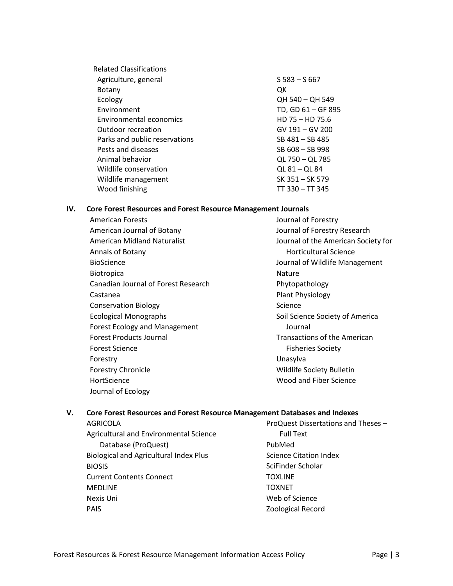| <b>Related Classifications</b> |                    |
|--------------------------------|--------------------|
| Agriculture, general           | $S$ 583 – S 667    |
| <b>Botany</b>                  | QK                 |
| Ecology                        | QH 540 - QH 549    |
| Environment                    | TD, GD 61 - GF 895 |
| Environmental economics        | $HD 75 - HD 75.6$  |
| Outdoor recreation             | GV 191 – GV 200    |
| Parks and public reservations  | SB 481 - SB 485    |
| Pests and diseases             | SB 608 - SB 998    |
| Animal behavior                | QL 750 - QL 785    |
| Wildlife conservation          | OL 81 - OL 84      |
| Wildlife management            | SK 351 - SK 579    |
| Wood finishing                 | TT 330 - TT 345    |
|                                |                    |

#### **IV. Core Forest Resources and Forest Resource Management Journals**

American Forests American Journal of Botany American Midland Naturalist Annals of Botany BioScience Biotropica Canadian Journal of Forest Research Castanea Conservation Biology Ecological Monographs Forest Ecology and Management Forest Products Journal Forest Science Forestry Forestry Chronicle HortScience Journal of Ecology Journal of Forestry Journal of Forestry Research Journal of the American Society for Horticultural Science Journal of Wildlife Management Nature Phytopathology Plant Physiology Science Soil Science Society of America Journal Transactions of the American Fisheries Society Unasylva Wildlife Society Bulletin Wood and Fiber Science

# **V. Core Forest Resources and Forest Resource Management Databases and Indexes**

AGRICOLA Agricultural and Environmental Science Database (ProQuest) Biological and Agricultural Index Plus BIOSIS Current Contents Connect MEDLINE Nexis Uni PAIS

ProQuest Dissertations and Theses – Full Text PubMed Science Citation Index SciFinder Scholar **TOXLINE** TOXNET Web of Science Zoological Record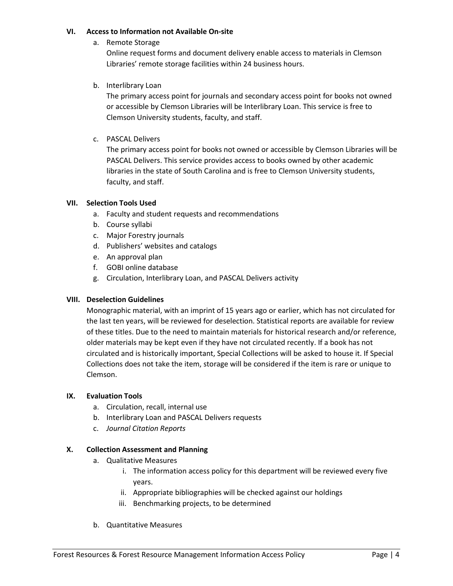# **VI. Access to Information not Available On-site**

a. Remote Storage

Online request forms and document delivery enable access to materials in Clemson Libraries' remote storage facilities within 24 business hours.

b. Interlibrary Loan

The primary access point for journals and secondary access point for books not owned or accessible by Clemson Libraries will be Interlibrary Loan. This service is free to Clemson University students, faculty, and staff.

c. PASCAL Delivers

The primary access point for books not owned or accessible by Clemson Libraries will be PASCAL Delivers. This service provides access to books owned by other academic libraries in the state of South Carolina and is free to Clemson University students, faculty, and staff.

# **VII. Selection Tools Used**

- a. Faculty and student requests and recommendations
- b. Course syllabi
- c. Major Forestry journals
- d. Publishers' websites and catalogs
- e. An approval plan
- f. GOBI online database
- g. Circulation, Interlibrary Loan, and PASCAL Delivers activity

# **VIII. Deselection Guidelines**

Monographic material, with an imprint of 15 years ago or earlier, which has not circulated for the last ten years, will be reviewed for deselection. Statistical reports are available for review of these titles. Due to the need to maintain materials for historical research and/or reference, older materials may be kept even if they have not circulated recently. If a book has not circulated and is historically important, Special Collections will be asked to house it. If Special Collections does not take the item, storage will be considered if the item is rare or unique to Clemson.

# **IX. Evaluation Tools**

- a. Circulation, recall, internal use
- b. Interlibrary Loan and PASCAL Delivers requests
- c. *Journal Citation Reports*

# **X. Collection Assessment and Planning**

- a. Qualitative Measures
	- i. The information access policy for this department will be reviewed every five years.
	- ii. Appropriate bibliographies will be checked against our holdings
	- iii. Benchmarking projects, to be determined
- b. Quantitative Measures